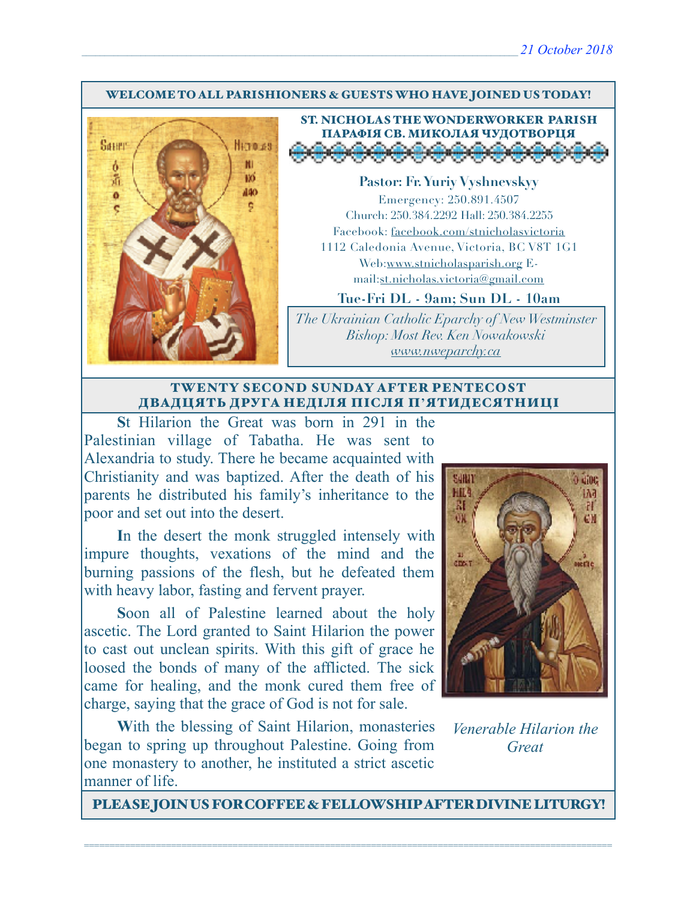#### WELCOME TO ALL PARISHIONERS & GUESTS WHO HAVE JOINED US TODAY!



ST. NICHOLAS THE WONDERWORKER PARISH ПАРАФІЯ СВ. МИКОЛАЯ ЧУДОТВОРЦЯ<br>Д<del>ООООООООООООО</del>

**Pastor: Fr. Yuriy Vyshnevskyy** Emergency: 250.891.4507 Church: 250.384.2292 Hall: 250.384.2255 Facebook: facebook.com/stnicholasvictoria 1112 Caledonia Avenue, Victoria, BC V8T 1G1 Web[:www.stnicholasparish.org](http://www.stnicholasparish.org) Email:[st.nicholas.victoria@gmail.com](mailto:st.nicholas.victoria@gmail.com)

**Tue-Fri DL - 9am; Sun DL - 10am**

*The Ukrainian Catholic Eparchy of New Westminster Bishop: Most Rev. Ken Nowakowski [www.nweparchy.ca](http://www.nweparchy.ca)*

#### TWENTY SECOND SUNDAY AFTER PENTECOST ДВАДЦЯТЬ ДРУГА НЕДІЛЯ ПІСЛЯ П**'**ЯТИДЕСЯТНИЦІ

**S**t Hilarion the Great was born in 291 in the Palestinian village of Tabatha. He was sent to Alexandria to study. There he became acquainted with Christianity and was baptized. After the death of his parents he distributed his family's inheritance to the poor and set out into the desert.

**I**n the desert the monk struggled intensely with impure thoughts, vexations of the mind and the burning passions of the flesh, but he defeated them with heavy labor, fasting and fervent prayer.

**S**oon all of Palestine learned about the holy ascetic. The Lord granted to Saint Hilarion the power to cast out unclean spirits. With this gift of grace he loosed the bonds of many of the afflicted. The sick came for healing, and the monk cured them free of charge, saying that the grace of God is not for sale.

With the blessing of Saint Hilarion, monasteries began to spring up throughout Palestine. Going from one monastery to another, he instituted a strict ascetic manner of life.



*Venerable Hilarion the Great*

PLEASE JOIN US FOR COFFEE & FELLOWSHIP AFTER DIVINE LITURGY!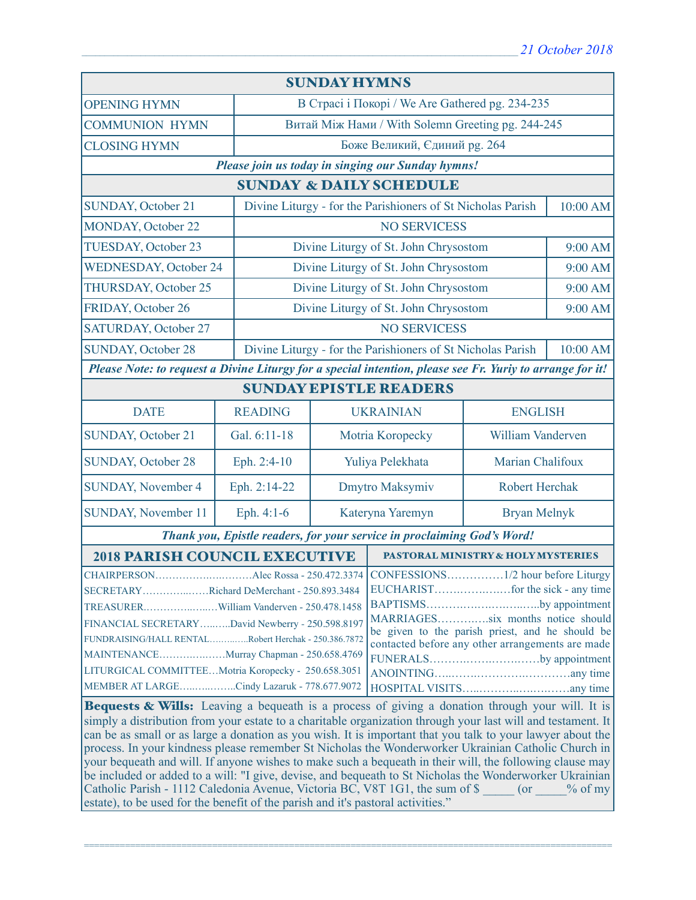| <b>SUNDAY HYMNS</b>                                                                                                                                                                                                                                                                                                                                                                                                                                                                                                                                                                                                                                                                                                                      |                                                   |                                                                         |                                          |                                    |          |  |  |  |
|------------------------------------------------------------------------------------------------------------------------------------------------------------------------------------------------------------------------------------------------------------------------------------------------------------------------------------------------------------------------------------------------------------------------------------------------------------------------------------------------------------------------------------------------------------------------------------------------------------------------------------------------------------------------------------------------------------------------------------------|---------------------------------------------------|-------------------------------------------------------------------------|------------------------------------------|------------------------------------|----------|--|--|--|
| <b>OPENING HYMN</b>                                                                                                                                                                                                                                                                                                                                                                                                                                                                                                                                                                                                                                                                                                                      |                                                   | В Страсі і Покорі / We Are Gathered pg. 234-235                         |                                          |                                    |          |  |  |  |
| <b>COMMUNION HYMN</b>                                                                                                                                                                                                                                                                                                                                                                                                                                                                                                                                                                                                                                                                                                                    |                                                   | Витай Між Нами / With Solemn Greeting pg. 244-245                       |                                          |                                    |          |  |  |  |
| <b>CLOSING HYMN</b>                                                                                                                                                                                                                                                                                                                                                                                                                                                                                                                                                                                                                                                                                                                      |                                                   | Боже Великий, Єдиний рg. 264                                            |                                          |                                    |          |  |  |  |
|                                                                                                                                                                                                                                                                                                                                                                                                                                                                                                                                                                                                                                                                                                                                          | Please join us today in singing our Sunday hymns! |                                                                         |                                          |                                    |          |  |  |  |
| <b>SUNDAY &amp; DAILY SCHEDULE</b>                                                                                                                                                                                                                                                                                                                                                                                                                                                                                                                                                                                                                                                                                                       |                                                   |                                                                         |                                          |                                    |          |  |  |  |
| <b>SUNDAY, October 21</b>                                                                                                                                                                                                                                                                                                                                                                                                                                                                                                                                                                                                                                                                                                                |                                                   | Divine Liturgy - for the Parishioners of St Nicholas Parish             |                                          |                                    | 10:00 AM |  |  |  |
| <b>MONDAY, October 22</b>                                                                                                                                                                                                                                                                                                                                                                                                                                                                                                                                                                                                                                                                                                                |                                                   | <b>NO SERVICESS</b>                                                     |                                          |                                    |          |  |  |  |
| TUESDAY, October 23                                                                                                                                                                                                                                                                                                                                                                                                                                                                                                                                                                                                                                                                                                                      |                                                   | Divine Liturgy of St. John Chrysostom                                   |                                          | 9:00 AM                            |          |  |  |  |
| <b>WEDNESDAY, October 24</b>                                                                                                                                                                                                                                                                                                                                                                                                                                                                                                                                                                                                                                                                                                             |                                                   | Divine Liturgy of St. John Chrysostom                                   |                                          | 9:00 AM                            |          |  |  |  |
| <b>THURSDAY, October 25</b>                                                                                                                                                                                                                                                                                                                                                                                                                                                                                                                                                                                                                                                                                                              |                                                   | Divine Liturgy of St. John Chrysostom                                   |                                          | 9:00 AM                            |          |  |  |  |
| FRIDAY, October 26                                                                                                                                                                                                                                                                                                                                                                                                                                                                                                                                                                                                                                                                                                                       |                                                   |                                                                         | Divine Liturgy of St. John Chrysostom    |                                    | 9:00 AM  |  |  |  |
| SATURDAY, October 27                                                                                                                                                                                                                                                                                                                                                                                                                                                                                                                                                                                                                                                                                                                     |                                                   |                                                                         | <b>NO SERVICESS</b>                      |                                    |          |  |  |  |
| <b>SUNDAY, October 28</b>                                                                                                                                                                                                                                                                                                                                                                                                                                                                                                                                                                                                                                                                                                                |                                                   | Divine Liturgy - for the Parishioners of St Nicholas Parish<br>10:00 AM |                                          |                                    |          |  |  |  |
| Please Note: to request a Divine Liturgy for a special intention, please see Fr. Yuriy to arrange for it!                                                                                                                                                                                                                                                                                                                                                                                                                                                                                                                                                                                                                                |                                                   |                                                                         |                                          |                                    |          |  |  |  |
| <b>SUNDAY EPISTLE READERS</b>                                                                                                                                                                                                                                                                                                                                                                                                                                                                                                                                                                                                                                                                                                            |                                                   |                                                                         |                                          |                                    |          |  |  |  |
| <b>DATE</b>                                                                                                                                                                                                                                                                                                                                                                                                                                                                                                                                                                                                                                                                                                                              | <b>READING</b>                                    |                                                                         | <b>UKRAINIAN</b>                         | <b>ENGLISH</b>                     |          |  |  |  |
| <b>SUNDAY, October 21</b>                                                                                                                                                                                                                                                                                                                                                                                                                                                                                                                                                                                                                                                                                                                | Gal. 6:11-18                                      |                                                                         | Motria Koropecky                         | William Vanderven                  |          |  |  |  |
| <b>SUNDAY, October 28</b>                                                                                                                                                                                                                                                                                                                                                                                                                                                                                                                                                                                                                                                                                                                | Eph. 2:4-10                                       |                                                                         | Marian Chalifoux<br>Yuliya Pelekhata     |                                    |          |  |  |  |
| <b>SUNDAY, November 4</b>                                                                                                                                                                                                                                                                                                                                                                                                                                                                                                                                                                                                                                                                                                                | Eph. 2:14-22                                      |                                                                         | Dmytro Maksymiv<br><b>Robert Herchak</b> |                                    |          |  |  |  |
| SUNDAY, November 11                                                                                                                                                                                                                                                                                                                                                                                                                                                                                                                                                                                                                                                                                                                      | Eph. 4:1-6                                        |                                                                         | Kateryna Yaremyn<br><b>Bryan Melnyk</b>  |                                    |          |  |  |  |
| Thank you, Epistle readers, for your service in proclaiming God's Word!                                                                                                                                                                                                                                                                                                                                                                                                                                                                                                                                                                                                                                                                  |                                                   |                                                                         |                                          |                                    |          |  |  |  |
| <b>2018 PARISH COUNCIL EXECUTIVE</b>                                                                                                                                                                                                                                                                                                                                                                                                                                                                                                                                                                                                                                                                                                     |                                                   |                                                                         |                                          | PASTORAL MINISTRY & HOLY MYSTERIES |          |  |  |  |
| Alec Rossa - 250.472.3374 CONFESSIONS<br>$.1/2$ hour before Liturgy<br><b>CHAIRPERSON</b><br>SECRETARYRichard DeMerchant - 250.893.3484<br>BAPTISMSby appointment<br>MARRIAGESsix months notice should<br>FINANCIAL SECRETARYDavid Newberry - 250.598.8197<br>be given to the parish priest, and he should be<br>FUNDRAISING/HALL RENTALRobert Herchak - 250.386.7872<br>contacted before any other arrangements are made<br>FUNERALSby appointment<br>LITURGICAL COMMITTEEMotria Koropecky - 250.658.3051<br>MEMBER AT LARGECindy Lazaruk - 778.677.9072<br><b>Bequests &amp; Wills:</b> Leaving a bequeath is a process of giving a donation through your will. It is                                                                  |                                                   |                                                                         |                                          |                                    |          |  |  |  |
| simply a distribution from your estate to a charitable organization through your last will and testament. It<br>can be as small or as large a donation as you wish. It is important that you talk to your lawyer about the<br>process. In your kindness please remember St Nicholas the Wonderworker Ukrainian Catholic Church in<br>your bequeath and will. If anyone wishes to make such a bequeath in their will, the following clause may<br>be included or added to a will: "I give, devise, and bequeath to St Nicholas the Wonderworker Ukrainian<br>Catholic Parish - 1112 Caledonia Avenue, Victoria BC, V8T 1G1, the sum of \$ (or % of my<br>estate), to be used for the benefit of the parish and it's pastoral activities." |                                                   |                                                                         |                                          |                                    |          |  |  |  |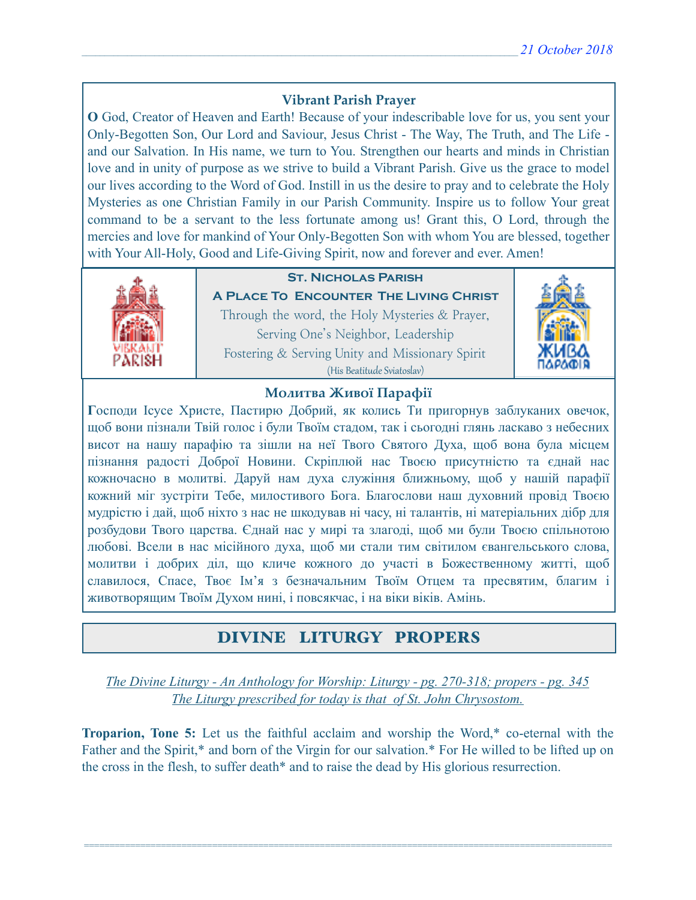### **Vibrant Parish Prayer**

**O** God, Creator of Heaven and Earth! Because of your indescribable love for us, you sent your Only-Begotten Son, Our Lord and Saviour, Jesus Christ - The Way, The Truth, and The Life and our Salvation. In His name, we turn to You. Strengthen our hearts and minds in Christian love and in unity of purpose as we strive to build a Vibrant Parish. Give us the grace to model our lives according to the Word of God. Instill in us the desire to pray and to celebrate the Holy Mysteries as one Christian Family in our Parish Community. Inspire us to follow Your great command to be a servant to the less fortunate among us! Grant this, O Lord, through the mercies and love for mankind of Your Only-Begotten Son with whom You are blessed, together with Your All-Holy, Good and Life-Giving Spirit, now and forever and ever. Amen!



### **St. Nicholas Parish**

**A Place To Encounter The Living Christ** Through the word, the Holy Mysteries & Prayer, Serving One's Neighbor, Leadership Fostering & Serving Unity and Missionary Spirit (His Beatitude Sviatoslav)



### **Молитва Живої Парафії**

**Г**осподи Ісусе Христе, Пастирю Добрий, як колись Ти пригорнув заблуканих овечок, щоб вони пізнали Твій голос і були Твоїм стадом, так і сьогодні глянь ласкаво з небесних висот на нашу парафію та зішли на неї Твого Святого Духа, щоб вона була місцем пізнання радості Доброї Новини. Скріплюй нас Твоєю присутністю та єднай нас кожночасно в молитві. Даруй нам духа служіння ближньому, щоб у нашій парафії кожний міг зустріти Тебе, милостивого Бога. Благослови наш духовний провід Твоєю мудрістю і дай, щоб ніхто з нас не шкодував ні часу, ні талантів, ні матеріальних дібр для розбудови Твого царства. Єднай нас у мирі та злагоді, щоб ми були Твоєю спільнотою любові. Всели в нас місійного духа, щоб ми стали тим світилом євангельського слова, молитви і добрих діл, що кличе кожного до участі в Божественному житті, щоб славилося, Спасе, Твоє Ім'я з безначальним Твоїм Отцем та пресвятим, благим і животворящим Твоїм Духом нині, і повсякчас, і на віки віків. Амінь.

# DIVINE LITURGY PROPERS

*The Divine Liturgy - An Anthology for Worship: Liturgy - pg. 270-318; propers - pg. 345 The Liturgy prescribed for today is that of St. John Chrysostom.* 

**Troparion, Tone 5:** Let us the faithful acclaim and worship the Word,\* co-eternal with the Father and the Spirit,\* and born of the Virgin for our salvation.\* For He willed to be lifted up on the cross in the flesh, to suffer death\* and to raise the dead by His glorious resurrection.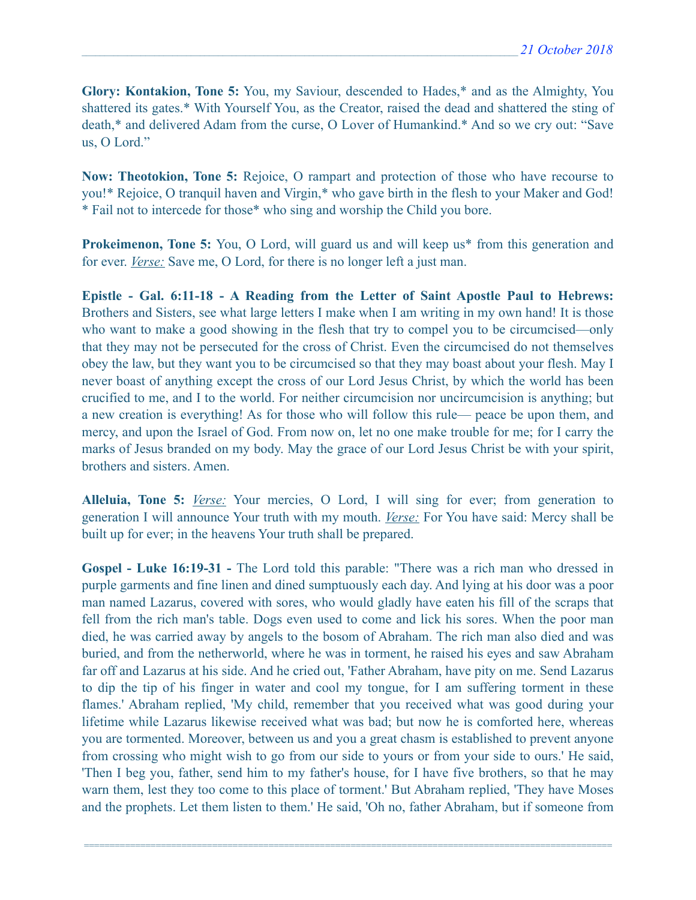**Glory: Kontakion, Tone 5:** You, my Saviour, descended to Hades,\* and as the Almighty, You shattered its gates.\* With Yourself You, as the Creator, raised the dead and shattered the sting of death,\* and delivered Adam from the curse, O Lover of Humankind.\* And so we cry out: "Save us, O Lord."

**Now: Theotokion, Tone 5:** Rejoice, O rampart and protection of those who have recourse to you!\* Rejoice, O tranquil haven and Virgin,\* who gave birth in the flesh to your Maker and God! \* Fail not to intercede for those\* who sing and worship the Child you bore.

**Prokeimenon, Tone 5:** You, O Lord, will guard us and will keep us<sup>\*</sup> from this generation and for ever. *Verse:* Save me, O Lord, for there is no longer left a just man.

**Epistle - Gal. 6:11-18 - A Reading from the Letter of Saint Apostle Paul to Hebrews:** Brothers and Sisters, see what large letters I make when I am writing in my own hand! It is those who want to make a good showing in the flesh that try to compel you to be circumcised—only that they may not be persecuted for the cross of Christ. Even the circumcised do not themselves obey the law, but they want you to be circumcised so that they may boast about your flesh. May I never boast of anything except the cross of our Lord Jesus Christ, by which the world has been crucified to me, and I to the world. For neither circumcision nor uncircumcision is anything; but a new creation is everything! As for those who will follow this rule— peace be upon them, and mercy, and upon the Israel of God. From now on, let no one make trouble for me; for I carry the marks of Jesus branded on my body. May the grace of our Lord Jesus Christ be with your spirit, brothers and sisters. Amen.

**Alleluia, Tone 5:** *Verse:* Your mercies, O Lord, I will sing for ever; from generation to generation I will announce Your truth with my mouth. *Verse:* For You have said: Mercy shall be built up for ever; in the heavens Your truth shall be prepared.

**Gospel - Luke 16:19-31 -** The Lord told this parable: "There was a rich man who dressed in purple garments and fine linen and dined sumptuously each day. And lying at his door was a poor man named Lazarus, covered with sores, who would gladly have eaten his fill of the scraps that fell from the rich man's table. Dogs even used to come and lick his sores. When the poor man died, he was carried away by angels to the bosom of Abraham. The rich man also died and was buried, and from the netherworld, where he was in torment, he raised his eyes and saw Abraham far off and Lazarus at his side. And he cried out, 'Father Abraham, have pity on me. Send Lazarus to dip the tip of his finger in water and cool my tongue, for I am suffering torment in these flames.' Abraham replied, 'My child, remember that you received what was good during your lifetime while Lazarus likewise received what was bad; but now he is comforted here, whereas you are tormented. Moreover, between us and you a great chasm is established to prevent anyone from crossing who might wish to go from our side to yours or from your side to ours.' He said, 'Then I beg you, father, send him to my father's house, for I have five brothers, so that he may warn them, lest they too come to this place of torment.' But Abraham replied, 'They have Moses and the prophets. Let them listen to them.' He said, 'Oh no, father Abraham, but if someone from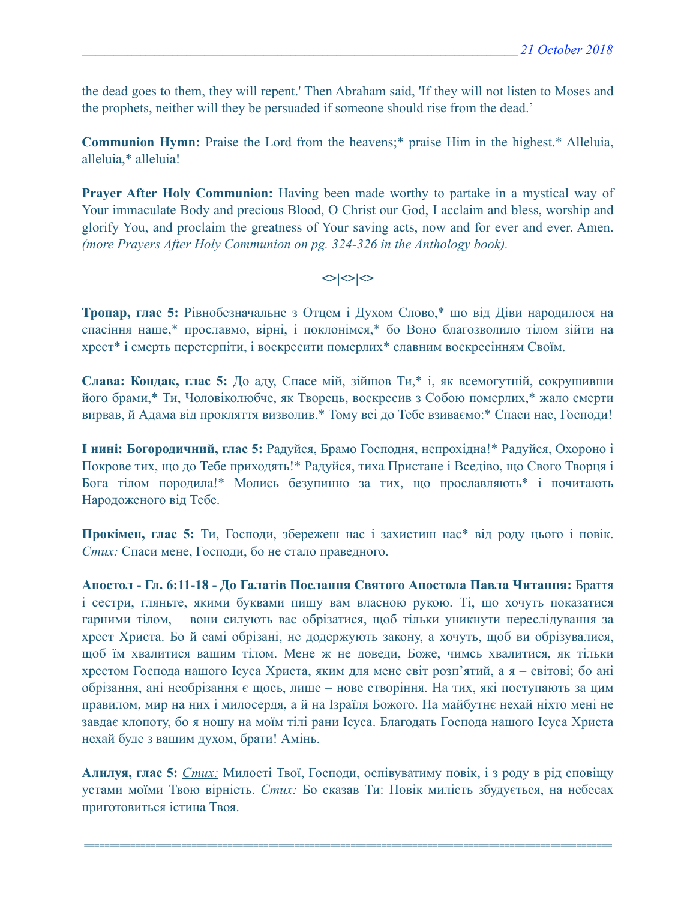the dead goes to them, they will repent.' Then Abraham said, 'If they will not listen to Moses and the prophets, neither will they be persuaded if someone should rise from the dead.'

**Communion Hymn:** Praise the Lord from the heavens;\* praise Him in the highest.\* Alleluia, alleluia,\* alleluia!

**Prayer After Holy Communion:** Having been made worthy to partake in a mystical way of Your immaculate Body and precious Blood, O Christ our God, I acclaim and bless, worship and glorify You, and proclaim the greatness of Your saving acts, now and for ever and ever. Amen. *(more Prayers After Holy Communion on pg. 324-326 in the Anthology book).* 

 $\langle$ 

**Тропар, глас 5:** Рівнобезначальне з Отцем і Духом Слово,\* що від Діви народилося на спасіння наше,\* прославмо, вірні, і поклонімся,\* бо Воно благозволило тілом зійти на хрест\* і смерть перетерпіти, і воскресити померлих\* славним воскресінням Своїм.

**Слава: Кондак, глас 5:** До аду, Спасе мій, зійшов Ти,\* і, як всемогутній, сокрушивши його брами,\* Ти, Чоловіколюбче, як Творець, воскресив з Собою померлих,\* жало смерти вирвав, й Адама від прокляття визволив.\* Тому всі до Тебе взиваємо:\* Спаси нас, Господи!

**І нині: Богородичний, глас 5:** Радуйся, Брамо Господня, непрохідна!\* Радуйся, Охороно і Покрове тих, що до Тебе приходять!\* Радуйся, тиха Пристане і Вседіво, що Свого Творця і Бога тілом породила!\* Молись безупинно за тих, що прославляють\* і почитають Народоженого від Тебе.

**Прокімен, глас 5:** Ти, Господи, збережеш нас і захистиш нас\* від роду цього і повік. *Стих:* Спаси мене, Господи, бо не стало праведного.

**Апостол - Гл. 6:11-18 - До Галатів Послання Святого Апостола Павла Читання:** Браття і сестри, гляньте, якими буквами пишу вам власною рукою. Ті, що хочуть показатися гарними тілом, – вони силують вас обрізатися, щоб тільки уникнути переслідування за хрест Христа. Бо й самі обрізані, не додержують закону, а хочуть, щоб ви обрізувалися, щоб їм хвалитися вашим тілом. Мене ж не доведи, Боже, чимсь хвалитися, як тільки хрестом Господа нашого Ісуса Христа, яким для мене світ розп'ятий, а я – світові; бо ані обрізання, ані необрізання є щось, лише – нове створіння. На тих, які поступають за цим правилом, мир на них і милосердя, а й на Ізраїля Божого. На майбутнє нехай ніхто мені не завдає клопоту, бо я ношу на моїм тілі рани Ісуса. Благодать Господа нашого Ісуса Христа нехай буде з вашим духом, брати! Амінь.

**Алилуя, глас 5:** *Стих:* Милості Твої, Господи, оспівуватиму повік, і з роду в рід сповіщу устами моїми Твою вірність. *Стих:* Бо сказав Ти: Повік милість збудується, на небесах приготовиться істина Твоя.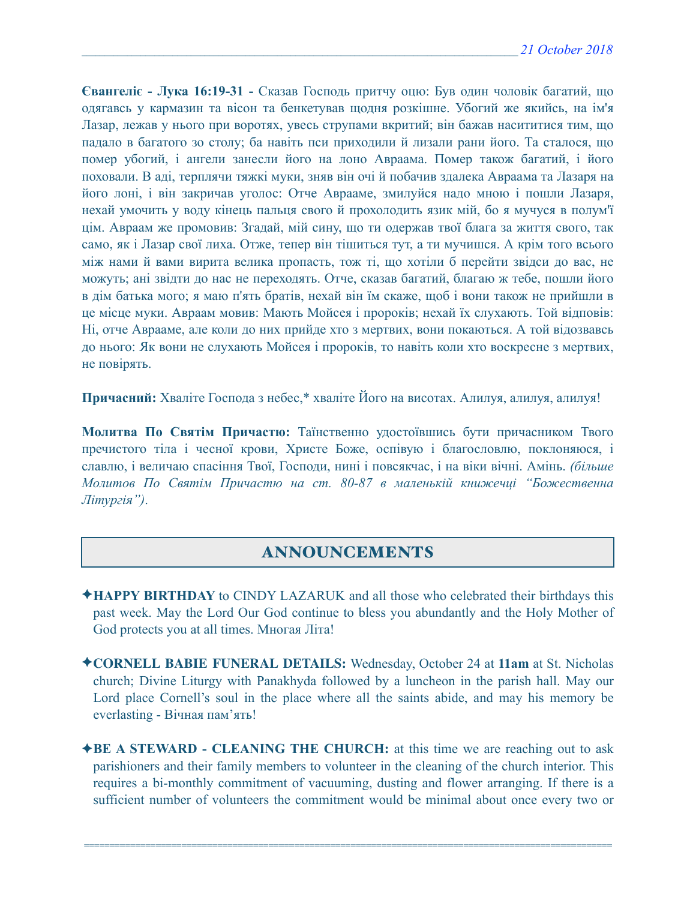**Євангеліє - Лука 16:19-31 -** Сказав Господь притчу оцю: Був один чоловік багатий, що одягавсь у кармазин та вісон та бенкетував щодня розкішне. Убогий же якийсь, на ім'я Лазар, лежав у нього при воротях, увесь струпами вкритий; він бажав насититися тим, що падало в багатого зо столу; ба навіть пси приходили й лизали рани його. Та сталося, що помер убогий, і ангели занесли його на лоно Авраама. Помер також багатий, і його поховали. В аді, терплячи тяжкі муки, зняв він очі й побачив здалека Авраама та Лазаря на його лоні, і він закричав уголос: Отче Аврааме, змилуйся надо мною і пошли Лазаря, нехай умочить у воду кінець пальця свого й прохолодить язик мій, бо я мучуся в полум'ї цім. Авраам же промовив: Згадай, мій сину, що ти одержав твої блага за життя свого, так само, як і Лазар свої лиха. Отже, тепер він тішиться тут, а ти мучишся. А крім того всього між нами й вами вирита велика пропасть, тож ті, що хотіли б перейти звідси до вас, не можуть; ані звідти до нас не переходять. Отче, сказав багатий, благаю ж тебе, пошли його в дім батька мого; я маю п'ять братів, нехай він їм скаже, щоб і вони також не прийшли в це місце муки. Авраам мовив: Мають Мойсея і пророків; нехай їх слухають. Той відповів: Ні, отче Аврааме, але коли до них прийде хто з мертвих, вони покаються. А той відозвавсь до нього: Як вони не слухають Мойсея і пророків, то навіть коли хто воскресне з мертвих, не повірять.

**Причасний:** Хваліте Господа з небес,\* хваліте Його на висотах. Алилуя, алилуя, алилуя!

**Молитва По Святім Причастю:** Таїнственно удостоївшись бути причасником Твого пречистого тіла і чесної крови, Христе Боже, оспівую і благословлю, поклоняюся, і славлю, і величаю спасіння Твої, Господи, нині і повсякчас, і на віки вічні. Амінь. *(більше Молитов По Святім Причастю на ст. 80-87 в маленькій книжечці "Божественна Літургія")*.

# ANNOUNCEMENTS

- ✦**HAPPY BIRTHDAY** to CINDY LAZARUK and all those who celebrated their birthdays this past week. May the Lord Our God continue to bless you abundantly and the Holy Mother of God protects you at all times. Многая Літа!
- ✦**CORNELL BABIE FUNERAL DETAILS:** Wednesday, October 24 at **11am** at St. Nicholas church; Divine Liturgy with Panakhyda followed by a luncheon in the parish hall. May our Lord place Cornell's soul in the place where all the saints abide, and may his memory be everlasting - Вічная пам'ять!
- ✦**BE A STEWARD CLEANING THE CHURCH:** at this time we are reaching out to ask parishioners and their family members to volunteer in the cleaning of the church interior. This requires a bi-monthly commitment of vacuuming, dusting and flower arranging. If there is a sufficient number of volunteers the commitment would be minimal about once every two or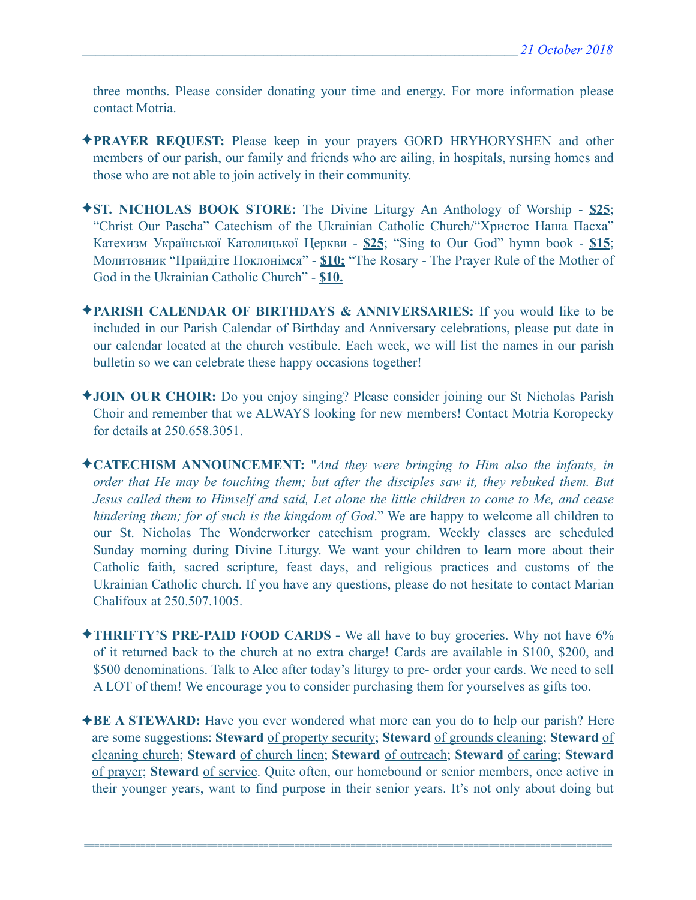three months. Please consider donating your time and energy. For more information please contact Motria.

- ✦**PRAYER REQUEST:** Please keep in your prayers GORD HRYHORYSHEN and other members of our parish, our family and friends who are ailing, in hospitals, nursing homes and those who are not able to join actively in their community.
- ✦**ST. NICHOLAS BOOK STORE:** The Divine Liturgy An Anthology of Worship **\$25**; "Christ Our Pascha" Catechism of the Ukrainian Catholic Church/"Христос Наша Пасха" Катехизм Української Католицької Церкви - **\$25**; "Sing to Our God" hymn book - **\$15**; Молитовник "Прийдіте Поклонімся" - **\$10;** "The Rosary - The Prayer Rule of the Mother of God in the Ukrainian Catholic Church" - **\$10.**
- ✦**PARISH CALENDAR OF BIRTHDAYS & ANNIVERSARIES:** If you would like to be included in our Parish Calendar of Birthday and Anniversary celebrations, please put date in our calendar located at the church vestibule. Each week, we will list the names in our parish bulletin so we can celebrate these happy occasions together!
- ✦**JOIN OUR CHOIR:** Do you enjoy singing? Please consider joining our St Nicholas Parish Choir and remember that we ALWAYS looking for new members! Contact Motria Koropecky for details at 250.658.3051.
- ✦**CATECHISM ANNOUNCEMENT:** "*And they were bringing to Him also the infants, in order that He may be touching them; but after the disciples saw it, they rebuked them. But Jesus called them to Himself and said, Let alone the little children to come to Me, and cease hindering them; for of such is the kingdom of God*." We are happy to welcome all children to our St. Nicholas The Wonderworker catechism program. Weekly classes are scheduled Sunday morning during Divine Liturgy. We want your children to learn more about their Catholic faith, sacred scripture, feast days, and religious practices and customs of the Ukrainian Catholic church. If you have any questions, please do not hesitate to contact Marian Chalifoux at 250.507.1005.
- ✦**THRIFTY'S PRE-PAID FOOD CARDS** We all have to buy groceries. Why not have 6% of it returned back to the church at no extra charge! Cards are available in \$100, \$200, and \$500 denominations. Talk to Alec after today's liturgy to pre- order your cards. We need to sell A LOT of them! We encourage you to consider purchasing them for yourselves as gifts too.
- ✦**BE A STEWARD:** Have you ever wondered what more can you do to help our parish? Here are some suggestions: **Steward** of property security; **Steward** of grounds cleaning; **Steward** of cleaning church; **Steward** of church linen; **Steward** of outreach; **Steward** of caring; **Steward** of prayer; **Steward** of service. Quite often, our homebound or senior members, once active in their younger years, want to find purpose in their senior years. It's not only about doing but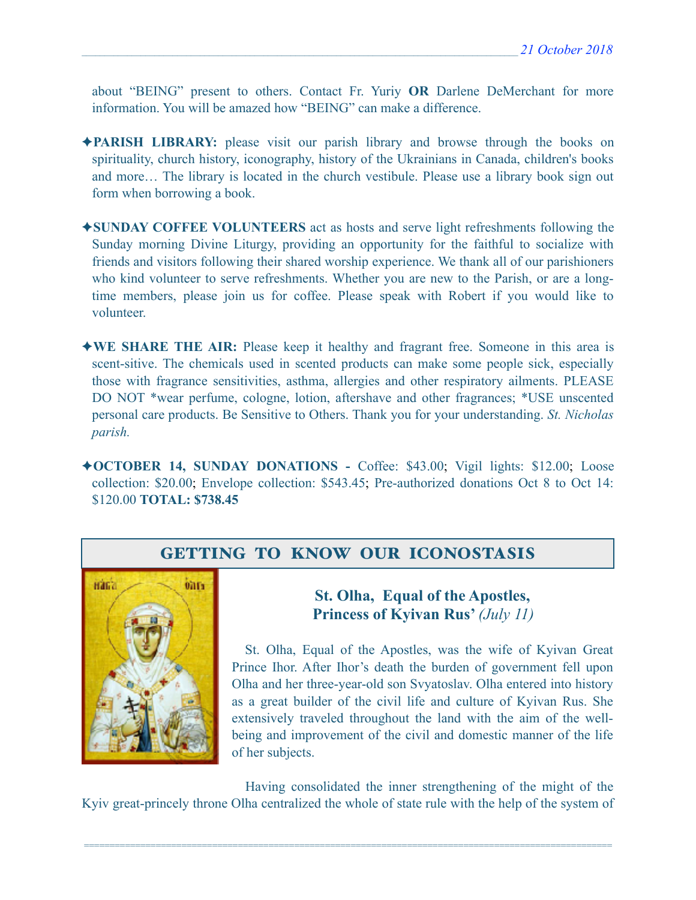about "BEING" present to others. Contact Fr. Yuriy **OR** Darlene DeMerchant for more information. You will be amazed how "BEING" can make a difference.

- ✦**PARISH LIBRARY:** please visit our parish library and browse through the books on spirituality, church history, iconography, history of the Ukrainians in Canada, children's books and more… The library is located in the church vestibule. Please use a library book sign out form when borrowing a book.
- ✦**SUNDAY COFFEE VOLUNTEERS** act as hosts and serve light refreshments following the Sunday morning Divine Liturgy, providing an opportunity for the faithful to socialize with friends and visitors following their shared worship experience. We thank all of our parishioners who kind volunteer to serve refreshments. Whether you are new to the Parish, or are a longtime members, please join us for coffee. Please speak with Robert if you would like to volunteer.
- ✦**WE SHARE THE AIR:** Please keep it healthy and fragrant free. Someone in this area is scent-sitive. The chemicals used in scented products can make some people sick, especially those with fragrance sensitivities, asthma, allergies and other respiratory ailments. PLEASE DO NOT \*wear perfume, cologne, lotion, aftershave and other fragrances; \*USE unscented personal care products. Be Sensitive to Others. Thank you for your understanding. *St. Nicholas parish.*
- ✦**OCTOBER 14, SUNDAY DONATIONS** Coffee: \$43.00; Vigil lights: \$12.00; Loose collection: \$20.00; Envelope collection: \$543.45; Pre-authorized donations Oct 8 to Oct 14: \$120.00 **TOTAL: \$738.45**

### GETTING TO KNOW OUR ICONOSTASIS



# **St. Olha, Equal of the Apostles, Princess of Kyivan Rus'** *(July 11)*

St. Olha, Equal of the Apostles, was the wife of Kyivan Great Prince Ihor. After Ihor's death the burden of government fell upon Olha and her three-year-old son Svyatoslav. Olha entered into history as a great builder of the civil life and culture of Kyivan Rus. She extensively traveled throughout the land with the aim of the wellbeing and improvement of the civil and domestic manner of the life of her subjects.

 Having consolidated the inner strengthening of the might of the Kyiv great-princely throne Olha centralized the whole of state rule with the help of the system of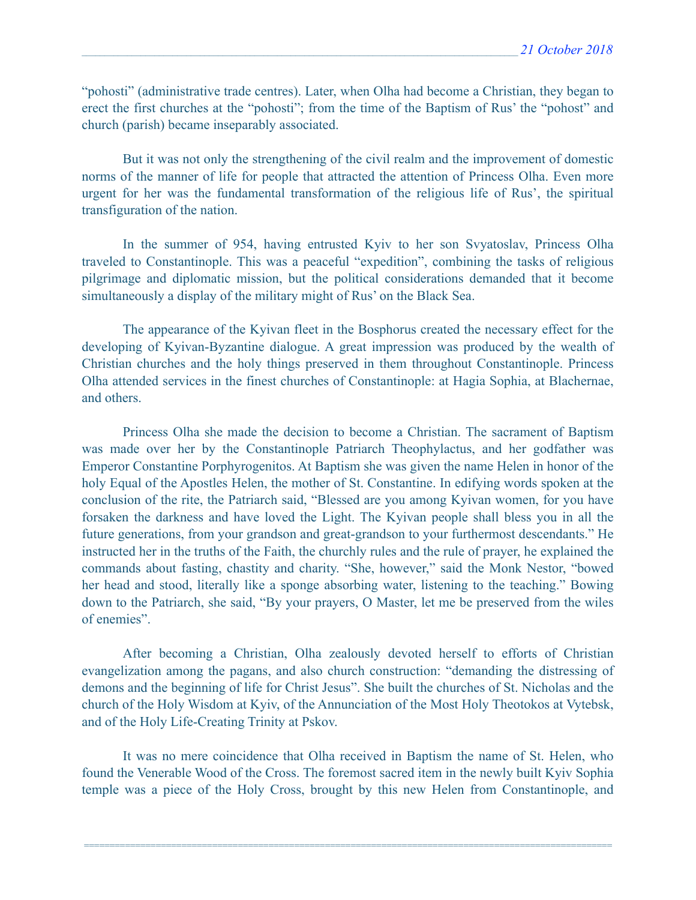"pohosti" (administrative trade centres). Later, when Olha had become a Christian, they began to erect the first churches at the "pohosti"; from the time of the Baptism of Rus' the "pohost" and church (parish) became inseparably associated.

 But it was not only the strengthening of the civil realm and the improvement of domestic norms of the manner of life for people that attracted the attention of Princess Olha. Even more urgent for her was the fundamental transformation of the religious life of Rus', the spiritual transfiguration of the nation.

 In the summer of 954, having entrusted Kyiv to her son Svyatoslav, Princess Olha traveled to Constantinople. This was a peaceful "expedition", combining the tasks of religious pilgrimage and diplomatic mission, but the political considerations demanded that it become simultaneously a display of the military might of Rus' on the Black Sea.

 The appearance of the Kyivan fleet in the Bosphorus created the necessary effect for the developing of Kyivan-Byzantine dialogue. A great impression was produced by the wealth of Christian churches and the holy things preserved in them throughout Constantinople. Princess Olha attended services in the finest churches of Constantinople: at Hagia Sophia, at Blachernae, and others.

 Princess Olha she made the decision to become a Christian. The sacrament of Baptism was made over her by the Constantinople Patriarch Theophylactus, and her godfather was Emperor Constantine Porphyrogenitos. At Baptism she was given the name Helen in honor of the holy Equal of the Apostles Helen, the mother of St. Constantine. In edifying words spoken at the conclusion of the rite, the Patriarch said, "Blessed are you among Kyivan women, for you have forsaken the darkness and have loved the Light. The Kyivan people shall bless you in all the future generations, from your grandson and great-grandson to your furthermost descendants." He instructed her in the truths of the Faith, the churchly rules and the rule of prayer, he explained the commands about fasting, chastity and charity. "She, however," said the Monk Nestor, "bowed her head and stood, literally like a sponge absorbing water, listening to the teaching." Bowing down to the Patriarch, she said, "By your prayers, O Master, let me be preserved from the wiles of enemies".

 After becoming a Christian, Olha zealously devoted herself to efforts of Christian evangelization among the pagans, and also church construction: "demanding the distressing of demons and the beginning of life for Christ Jesus". She built the churches of St. Nicholas and the church of the Holy Wisdom at Kyiv, of the Annunciation of the Most Holy Theotokos at Vytebsk, and of the Holy Life-Creating Trinity at Pskov.

 It was no mere coincidence that Olha received in Baptism the name of St. Helen, who found the Venerable Wood of the Cross. The foremost sacred item in the newly built Kyiv Sophia temple was a piece of the Holy Cross, brought by this new Helen from Constantinople, and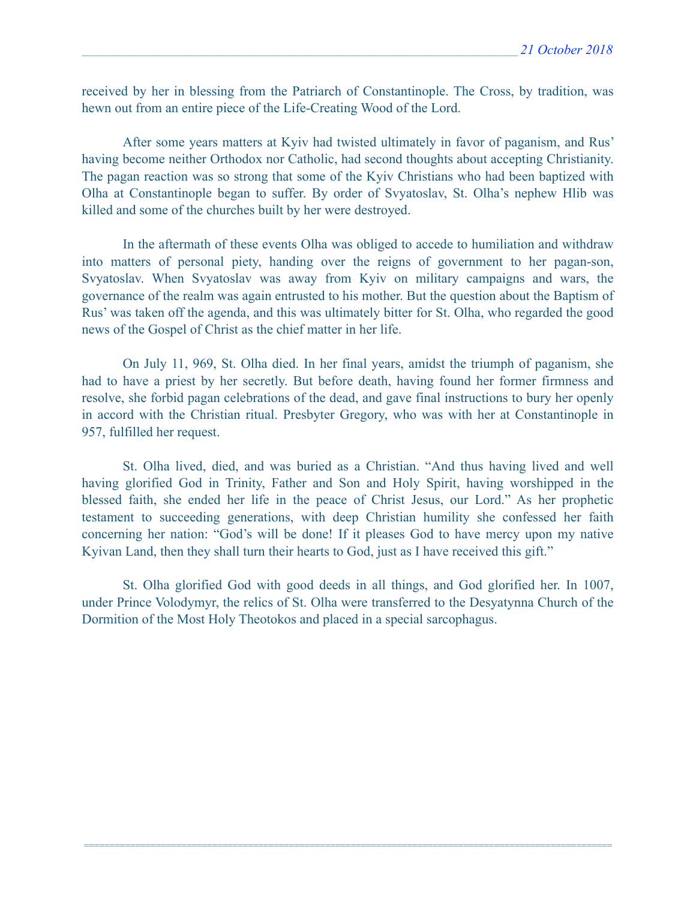received by her in blessing from the Patriarch of Constantinople. The Cross, by tradition, was hewn out from an entire piece of the Life-Creating Wood of the Lord.

 After some years matters at Kyiv had twisted ultimately in favor of paganism, and Rus' having become neither Orthodox nor Catholic, had second thoughts about accepting Christianity. The pagan reaction was so strong that some of the Kyiv Christians who had been baptized with Olha at Constantinople began to suffer. By order of Svyatoslav, St. Olha's nephew Hlib was killed and some of the churches built by her were destroyed.

 In the aftermath of these events Olha was obliged to accede to humiliation and withdraw into matters of personal piety, handing over the reigns of government to her pagan-son, Svyatoslav. When Svyatoslav was away from Kyiv on military campaigns and wars, the governance of the realm was again entrusted to his mother. But the question about the Baptism of Rus' was taken off the agenda, and this was ultimately bitter for St. Olha, who regarded the good news of the Gospel of Christ as the chief matter in her life.

 On July 11, 969, St. Olha died. In her final years, amidst the triumph of paganism, she had to have a priest by her secretly. But before death, having found her former firmness and resolve, she forbid pagan celebrations of the dead, and gave final instructions to bury her openly in accord with the Christian ritual. Presbyter Gregory, who was with her at Constantinople in 957, fulfilled her request.

 St. Olha lived, died, and was buried as a Christian. "And thus having lived and well having glorified God in Trinity, Father and Son and Holy Spirit, having worshipped in the blessed faith, she ended her life in the peace of Christ Jesus, our Lord." As her prophetic testament to succeeding generations, with deep Christian humility she confessed her faith concerning her nation: "God's will be done! If it pleases God to have mercy upon my native Kyivan Land, then they shall turn their hearts to God, just as I have received this gift."

 St. Olha glorified God with good deeds in all things, and God glorified her. In 1007, under Prince Volodymyr, the relics of St. Olha were transferred to the Desyatynna Church of the Dormition of the Most Holy Theotokos and placed in a special sarcophagus.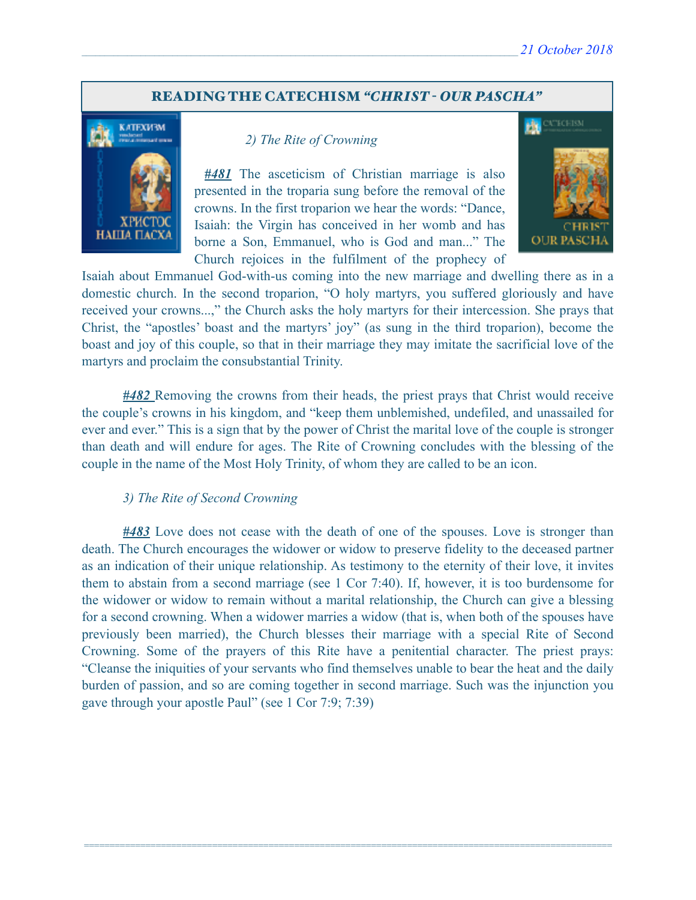#### READING THE CATECHISM *"CHRIST - OUR PASCHA"*



#### *2) The Rite of Crowning*

*#481* The asceticism of Christian marriage is also presented in the troparia sung before the removal of the crowns. In the first troparion we hear the words: "Dance, Isaiah: the Virgin has conceived in her womb and has borne a Son, Emmanuel, who is God and man..." The Church rejoices in the fulfilment of the prophecy of



Isaiah about Emmanuel God-with-us coming into the new marriage and dwelling there as in a domestic church. In the second troparion, "O holy martyrs, you suffered gloriously and have received your crowns...," the Church asks the holy martyrs for their intercession. She prays that Christ, the "apostles' boast and the martyrs' joy" (as sung in the third troparion), become the boast and joy of this couple, so that in their marriage they may imitate the sacrificial love of the martyrs and proclaim the consubstantial Trinity.

*#482* Removing the crowns from their heads, the priest prays that Christ would receive the couple's crowns in his kingdom, and "keep them unblemished, undefiled, and unassailed for ever and ever." This is a sign that by the power of Christ the marital love of the couple is stronger than death and will endure for ages. The Rite of Crowning concludes with the blessing of the couple in the name of the Most Holy Trinity, of whom they are called to be an icon.

#### *3) The Rite of Second Crowning*

*#483* Love does not cease with the death of one of the spouses. Love is stronger than death. The Church encourages the widower or widow to preserve fidelity to the deceased partner as an indication of their unique relationship. As testimony to the eternity of their love, it invites them to abstain from a second marriage (see 1 Cor 7:40). If, however, it is too burdensome for the widower or widow to remain without a marital relationship, the Church can give a blessing for a second crowning. When a widower marries a widow (that is, when both of the spouses have previously been married), the Church blesses their marriage with a special Rite of Second Crowning. Some of the prayers of this Rite have a penitential character. The priest prays: "Cleanse the iniquities of your servants who find themselves unable to bear the heat and the daily burden of passion, and so are coming together in second marriage. Such was the injunction you gave through your apostle Paul" (see 1 Cor 7:9; 7:39)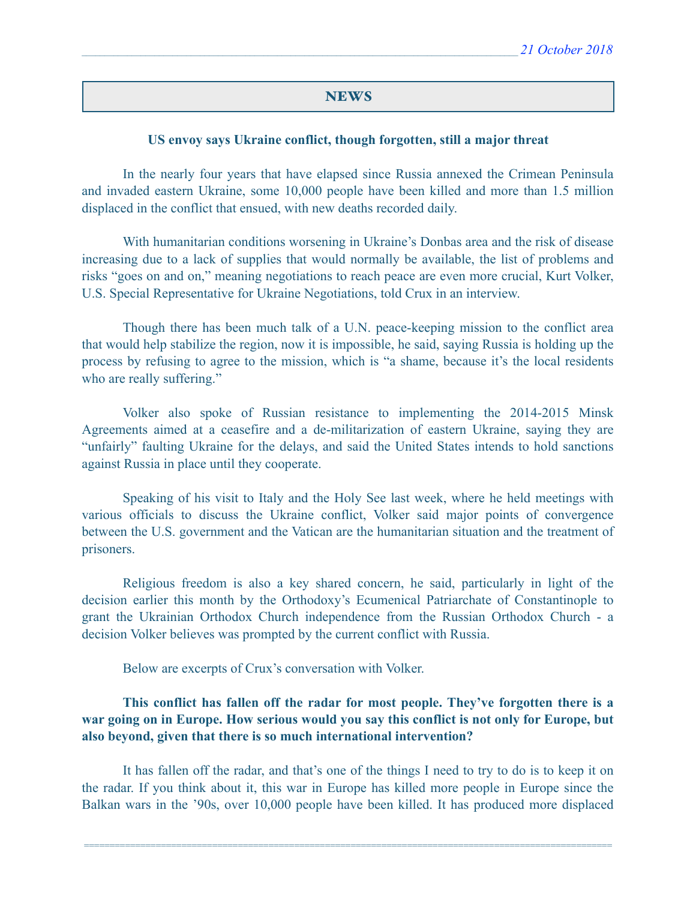#### **NEWS**

#### **US envoy says Ukraine conflict, though forgotten, still a major threat**

 In the nearly four years that have elapsed since Russia annexed the Crimean Peninsula and invaded eastern Ukraine, some 10,000 people have been killed and more than 1.5 million displaced in the conflict that ensued, with new deaths recorded daily.

 With humanitarian conditions worsening in Ukraine's Donbas area and the risk of disease increasing due to a lack of supplies that would normally be available, the list of problems and risks "goes on and on," meaning negotiations to reach peace are even more crucial, Kurt Volker, U.S. Special Representative for Ukraine Negotiations, told Crux in an interview.

 Though there has been much talk of a U.N. peace-keeping mission to the conflict area that would help stabilize the region, now it is impossible, he said, saying Russia is holding up the process by refusing to agree to the mission, which is "a shame, because it's the local residents who are really suffering."

 Volker also spoke of Russian resistance to implementing the 2014-2015 Minsk Agreements aimed at a ceasefire and a de-militarization of eastern Ukraine, saying they are "unfairly" faulting Ukraine for the delays, and said the United States intends to hold sanctions against Russia in place until they cooperate.

 Speaking of his visit to Italy and the Holy See last week, where he held meetings with various officials to discuss the Ukraine conflict, Volker said major points of convergence between the U.S. government and the Vatican are the humanitarian situation and the treatment of prisoners.

 Religious freedom is also a key shared concern, he said, particularly in light of the decision earlier this month by the Orthodoxy's Ecumenical Patriarchate of Constantinople to grant the Ukrainian Orthodox Church independence from the Russian Orthodox Church - a decision Volker believes was prompted by the current conflict with Russia.

Below are excerpts of Crux's conversation with Volker.

 **This conflict has fallen off the radar for most people. They've forgotten there is a war going on in Europe. How serious would you say this conflict is not only for Europe, but also beyond, given that there is so much international intervention?** 

 It has fallen off the radar, and that's one of the things I need to try to do is to keep it on the radar. If you think about it, this war in Europe has killed more people in Europe since the Balkan wars in the '90s, over 10,000 people have been killed. It has produced more displaced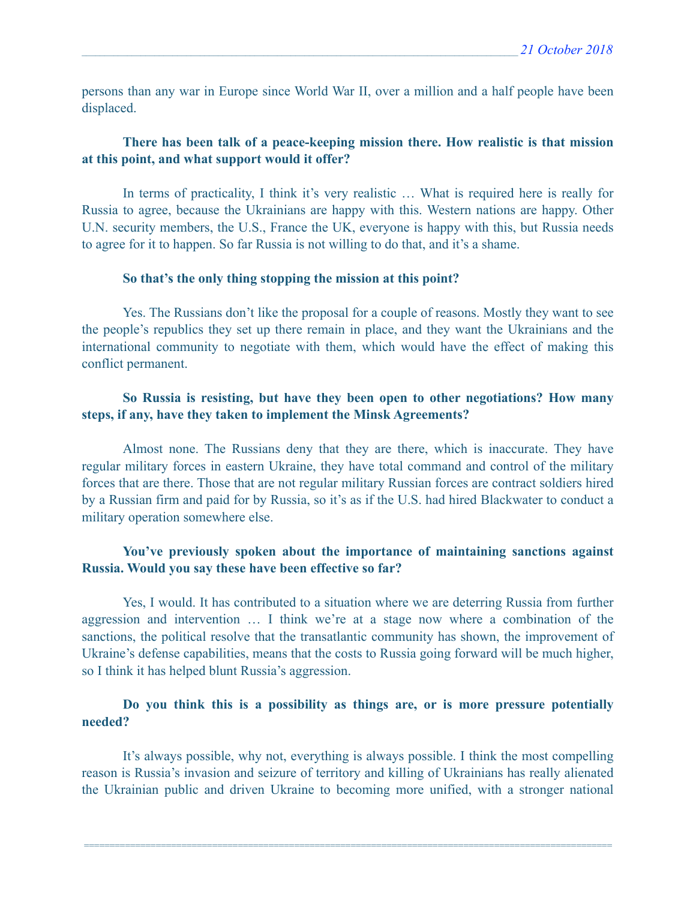persons than any war in Europe since World War II, over a million and a half people have been displaced.

### **There has been talk of a peace-keeping mission there. How realistic is that mission at this point, and what support would it offer?**

In terms of practicality, I think it's very realistic ... What is required here is really for Russia to agree, because the Ukrainians are happy with this. Western nations are happy. Other U.N. security members, the U.S., France the UK, everyone is happy with this, but Russia needs to agree for it to happen. So far Russia is not willing to do that, and it's a shame.

#### **So that's the only thing stopping the mission at this point?**

 Yes. The Russians don't like the proposal for a couple of reasons. Mostly they want to see the people's republics they set up there remain in place, and they want the Ukrainians and the international community to negotiate with them, which would have the effect of making this conflict permanent.

### **So Russia is resisting, but have they been open to other negotiations? How many steps, if any, have they taken to implement the Minsk Agreements?**

 Almost none. The Russians deny that they are there, which is inaccurate. They have regular military forces in eastern Ukraine, they have total command and control of the military forces that are there. Those that are not regular military Russian forces are contract soldiers hired by a Russian firm and paid for by Russia, so it's as if the U.S. had hired Blackwater to conduct a military operation somewhere else.

### **You've previously spoken about the importance of maintaining sanctions against Russia. Would you say these have been effective so far?**

 Yes, I would. It has contributed to a situation where we are deterring Russia from further aggression and intervention … I think we're at a stage now where a combination of the sanctions, the political resolve that the transatlantic community has shown, the improvement of Ukraine's defense capabilities, means that the costs to Russia going forward will be much higher, so I think it has helped blunt Russia's aggression.

### **Do you think this is a possibility as things are, or is more pressure potentially needed?**

 It's always possible, why not, everything is always possible. I think the most compelling reason is Russia's invasion and seizure of territory and killing of Ukrainians has really alienated the Ukrainian public and driven Ukraine to becoming more unified, with a stronger national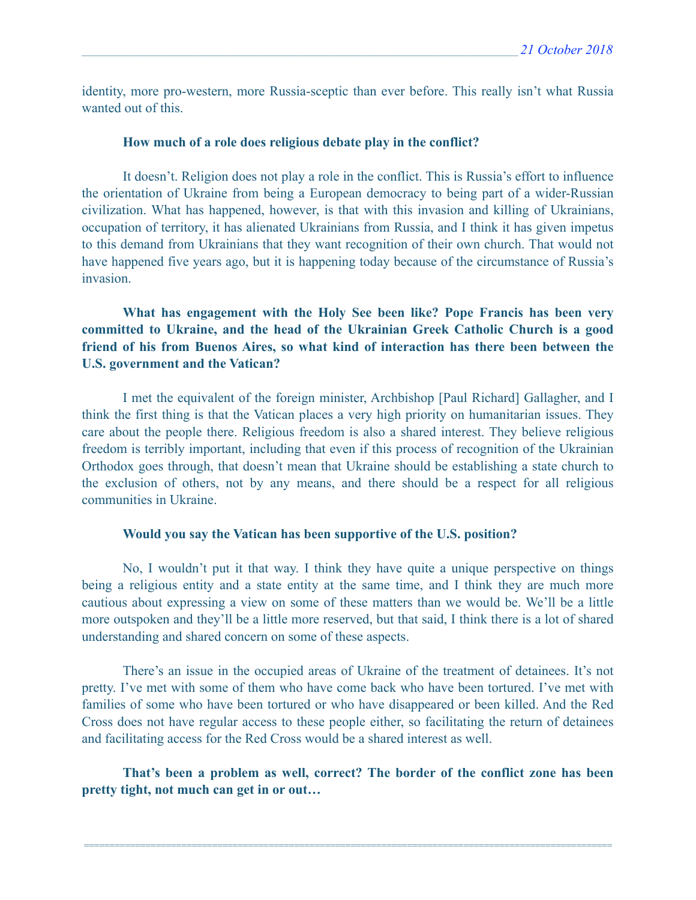identity, more pro-western, more Russia-sceptic than ever before. This really isn't what Russia wanted out of this.

#### **How much of a role does religious debate play in the conflict?**

 It doesn't. Religion does not play a role in the conflict. This is Russia's effort to influence the orientation of Ukraine from being a European democracy to being part of a wider-Russian civilization. What has happened, however, is that with this invasion and killing of Ukrainians, occupation of territory, it has alienated Ukrainians from Russia, and I think it has given impetus to this demand from Ukrainians that they want recognition of their own church. That would not have happened five years ago, but it is happening today because of the circumstance of Russia's invasion.

 **What has engagement with the Holy See been like? Pope Francis has been very committed to Ukraine, and the head of the Ukrainian Greek Catholic Church is a good friend of his from Buenos Aires, so what kind of interaction has there been between the U.S. government and the Vatican?** 

 I met the equivalent of the foreign minister, Archbishop [Paul Richard] Gallagher, and I think the first thing is that the Vatican places a very high priority on humanitarian issues. They care about the people there. Religious freedom is also a shared interest. They believe religious freedom is terribly important, including that even if this process of recognition of the Ukrainian Orthodox goes through, that doesn't mean that Ukraine should be establishing a state church to the exclusion of others, not by any means, and there should be a respect for all religious communities in Ukraine.

#### **Would you say the Vatican has been supportive of the U.S. position?**

 No, I wouldn't put it that way. I think they have quite a unique perspective on things being a religious entity and a state entity at the same time, and I think they are much more cautious about expressing a view on some of these matters than we would be. We'll be a little more outspoken and they'll be a little more reserved, but that said, I think there is a lot of shared understanding and shared concern on some of these aspects.

 There's an issue in the occupied areas of Ukraine of the treatment of detainees. It's not pretty. I've met with some of them who have come back who have been tortured. I've met with families of some who have been tortured or who have disappeared or been killed. And the Red Cross does not have regular access to these people either, so facilitating the return of detainees and facilitating access for the Red Cross would be a shared interest as well.

 **That's been a problem as well, correct? The border of the conflict zone has been pretty tight, not much can get in or out…**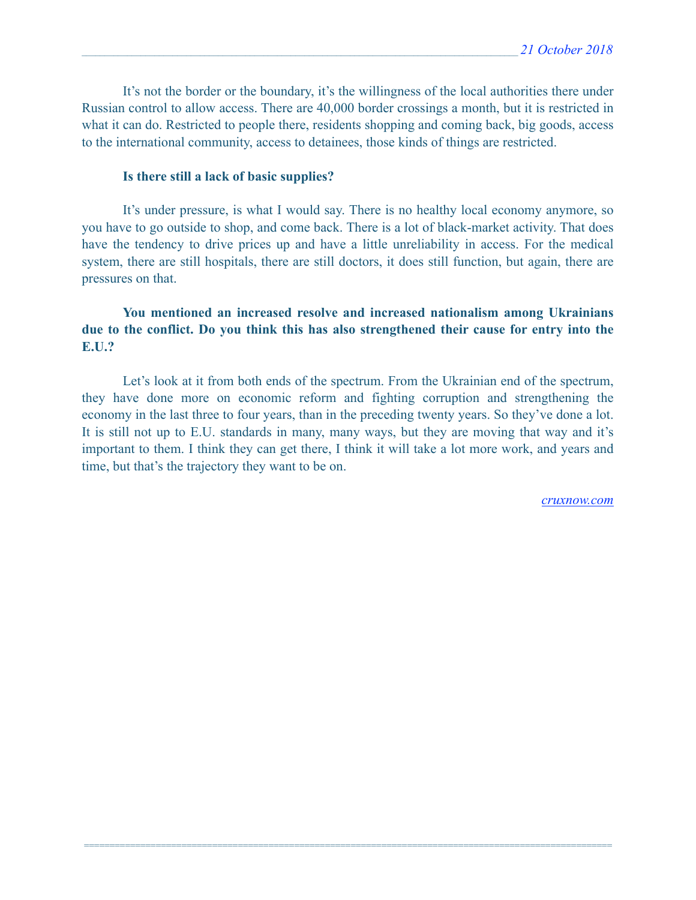It's not the border or the boundary, it's the willingness of the local authorities there under Russian control to allow access. There are 40,000 border crossings a month, but it is restricted in what it can do. Restricted to people there, residents shopping and coming back, big goods, access to the international community, access to detainees, those kinds of things are restricted.

#### **Is there still a lack of basic supplies?**

 It's under pressure, is what I would say. There is no healthy local economy anymore, so you have to go outside to shop, and come back. There is a lot of black-market activity. That does have the tendency to drive prices up and have a little unreliability in access. For the medical system, there are still hospitals, there are still doctors, it does still function, but again, there are pressures on that.

### **You mentioned an increased resolve and increased nationalism among Ukrainians due to the conflict. Do you think this has also strengthened their cause for entry into the E.U.?**

 Let's look at it from both ends of the spectrum. From the Ukrainian end of the spectrum, they have done more on economic reform and fighting corruption and strengthening the economy in the last three to four years, than in the preceding twenty years. So they've done a lot. It is still not up to E.U. standards in many, many ways, but they are moving that way and it's important to them. I think they can get there, I think it will take a lot more work, and years and time, but that's the trajectory they want to be on.

=======================================================================================================

*[cruxnow.com](http://cruxnow.com)*